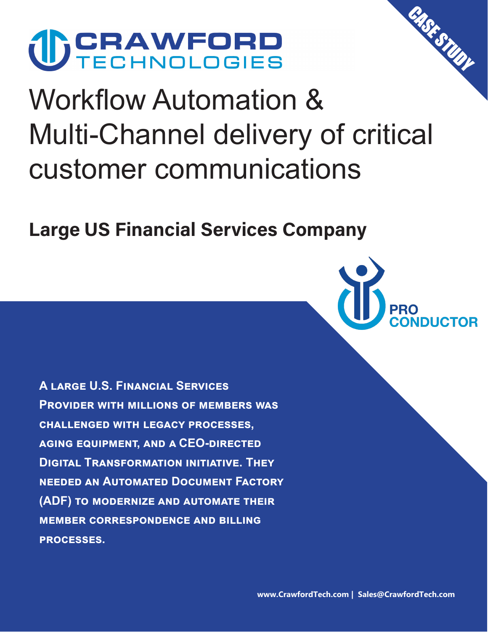

# Workflow Automation & Multi-Channel delivery of critical customer communications

**Large US Financial Services Company**



CASE STUDY

**A large U.S. Financial Services Provider with millions of members was challenged with legacy processes, aging equipment, and a CEO-directed Digital Transformation initiative. They needed an Automated Document Factory (ADF) to modernize and automate their member correspondence and billing processes.**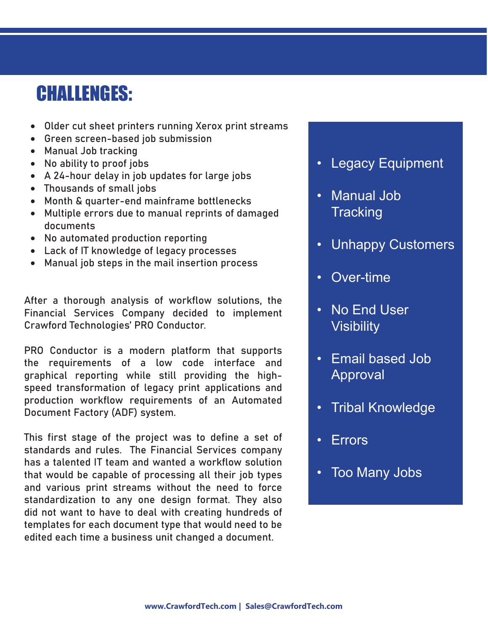## **CHALLENGES:**

- Older cut sheet printers running Xerox print streams
- Green screen-based job submission
- Manual Job tracking
- No ability to proof jobs
- A 24-hour delay in job updates for large jobs
- Thousands of small jobs
- Month & quarter-end mainframe bottlenecks
- Multiple errors due to manual reprints of damaged documents
- No automated production reporting
- Lack of IT knowledge of legacy processes
- Manual job steps in the mail insertion process

After a thorough analysis of workflow solutions, the Financial Services Company decided to implement Crawford Technologies' PRO Conductor.

PRO Conductor is a modern platform that supports the requirements of a low code interface and graphical reporting while still providing the highspeed transformation of legacy print applications and production workflow requirements of an Automated Document Factory (ADF) system.

This first stage of the project was to define a set of standards and rules. The Financial Services company has a talented IT team and wanted a workflow solution that would be capable of processing all their job types and various print streams without the need to force standardization to any one design format. They also did not want to have to deal with creating hundreds of templates for each document type that would need to be edited each time a business unit changed a document.

- **Legacy Equipment**
- Manual Job **Tracking**
- Unhappy Customers
- Over-time
- No End User **Visibility**
- Email based Job Approval
- Tribal Knowledge
- **Errors**
- Too Many Jobs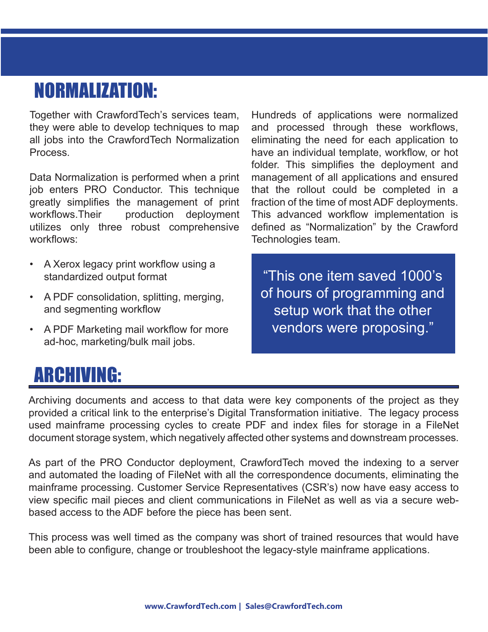# **NORMALIZATION:**

Together with CrawfordTech's services team, they were able to develop techniques to map all jobs into the CrawfordTech Normalization Process.

Data Normalization is performed when a print job enters PRO Conductor. This technique greatly simplifies the management of print workflows.Their production deployment utilizes only three robust comprehensive workflows:

- A Xerox legacy print workflow using a standardized output format
- A PDF consolidation, splitting, merging, and segmenting workflow
- A PDF Marketing mail workflow for more ad-hoc, marketing/bulk mail jobs.

Hundreds of applications were normalized and processed through these workflows, eliminating the need for each application to have an individual template, workflow, or hot folder. This simplifies the deployment and management of all applications and ensured that the rollout could be completed in a fraction of the time of most ADF deployments. This advanced workflow implementation is defined as "Normalization" by the Crawford Technologies team.

"This one item saved 1000's of hours of programming and setup work that the other vendors were proposing."

# **ARCHIVING:**

Archiving documents and access to that data were key components of the project as they provided a critical link to the enterprise's Digital Transformation initiative. The legacy process used mainframe processing cycles to create PDF and index files for storage in a FileNet document storage system, which negatively affected other systems and downstream processes.

As part of the PRO Conductor deployment, CrawfordTech moved the indexing to a server and automated the loading of FileNet with all the correspondence documents, eliminating the mainframe processing. Customer Service Representatives (CSR's) now have easy access to view specific mail pieces and client communications in FileNet as well as via a secure webbased access to the ADF before the piece has been sent.

This process was well timed as the company was short of trained resources that would have been able to configure, change or troubleshoot the legacy-style mainframe applications.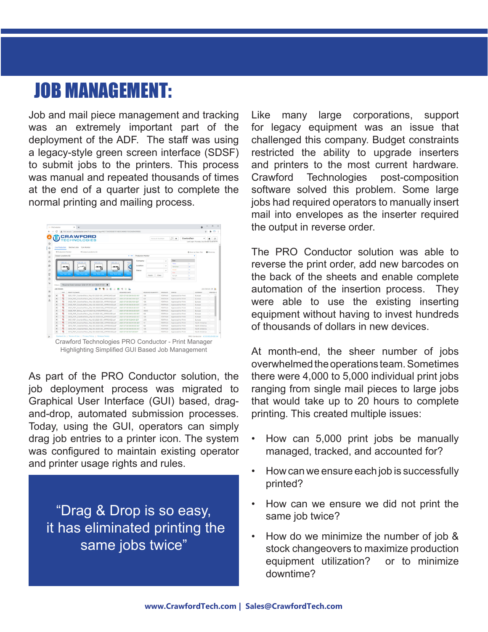#### **JOB MANAGEMENT:**

Job and mail piece management and tracking was an extremely important part of the deployment of the ADF. The staff was using a legacy-style green screen interface (SDSF) to submit jobs to the printers. This process was manual and repeated thousands of times at the end of a quarter just to complete the normal printing and mailing process.



Highlighting Simplified GUI Based Job Management

As part of the PRO Conductor solution, the job deployment process was migrated to Graphical User Interface (GUI) based, dragand-drop, automated submission processes. Today, using the GUI, operators can simply drag job entries to a printer icon. The system was configured to maintain existing operator and printer usage rights and rules.

"Drag & Drop is so easy, it has eliminated printing the same jobs twice"

Like many large corporations, support for legacy equipment was an issue that challenged this company. Budget constraints restricted the ability to upgrade inserters and printers to the most current hardware. Crawford Technologies post-composition software solved this problem. Some large jobs had required operators to manually insert mail into envelopes as the inserter required the output in reverse order.

The PRO Conductor solution was able to reverse the print order, add new barcodes on the back of the sheets and enable complete automation of the insertion process. They were able to use the existing inserting equipment without having to invest hundreds of thousands of dollars in new devices.

At month-end, the sheer number of jobs overwhelmed the operations team. Sometimes there were 4,000 to 5,000 individual print jobs ranging from single mail pieces to large jobs that would take up to 20 hours to complete printing. This created multiple issues:

- How can 5,000 print jobs be manually managed, tracked, and accounted for?
- How can we ensure each job is successfully printed?
- How can we ensure we did not print the same job twice?
- How do we minimize the number of job & stock changeovers to maximize production equipment utilization? or to minimize downtime?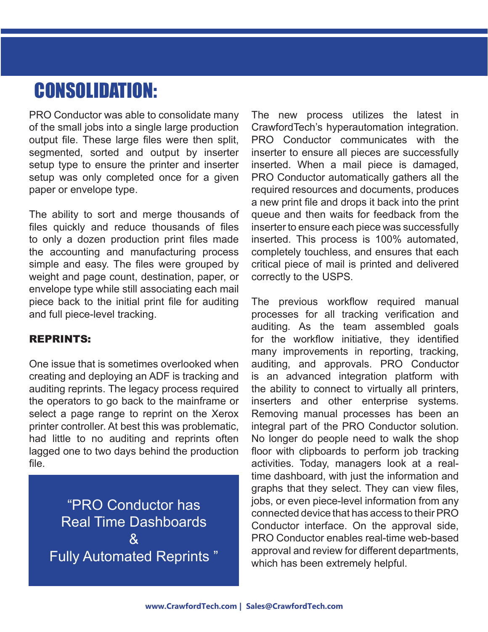# **CONSOLIDATION:**

PRO Conductor was able to consolidate many of the small jobs into a single large production output file. These large files were then split, segmented, sorted and output by inserter setup type to ensure the printer and inserter setup was only completed once for a given paper or envelope type.

The ability to sort and merge thousands of files quickly and reduce thousands of files to only a dozen production print files made the accounting and manufacturing process simple and easy. The files were grouped by weight and page count, destination, paper, or envelope type while still associating each mail piece back to the initial print file for auditing and full piece-level tracking.

#### **REPRINTS:**

One issue that is sometimes overlooked when creating and deploying an ADF is tracking and auditing reprints. The legacy process required the operators to go back to the mainframe or select a page range to reprint on the Xerox printer controller. At best this was problematic, had little to no auditing and reprints often lagged one to two days behind the production file.

"PRO Conductor has Real Time Dashboards  $\mathcal{R}_{\mathbf{I}}$ Fully Automated Reprints " The new process utilizes the latest in CrawfordTech's hyperautomation integration. PRO Conductor communicates with the inserter to ensure all pieces are successfully inserted. When a mail piece is damaged, PRO Conductor automatically gathers all the required resources and documents, produces a new print file and drops it back into the print queue and then waits for feedback from the inserter to ensure each piece was successfully inserted. This process is 100% automated, completely touchless, and ensures that each critical piece of mail is printed and delivered correctly to the USPS.

The previous workflow required manual processes for all tracking verification and auditing. As the team assembled goals for the workflow initiative, they identified many improvements in reporting, tracking, auditing, and approvals. PRO Conductor is an advanced integration platform with the ability to connect to virtually all printers, inserters and other enterprise systems. Removing manual processes has been an integral part of the PRO Conductor solution. No longer do people need to walk the shop floor with clipboards to perform job tracking activities. Today, managers look at a realtime dashboard, with just the information and graphs that they select. They can view files, jobs, or even piece-level information from any connected device that has access to their PRO Conductor interface. On the approval side, PRO Conductor enables real-time web-based approval and review for different departments, which has been extremely helpful.